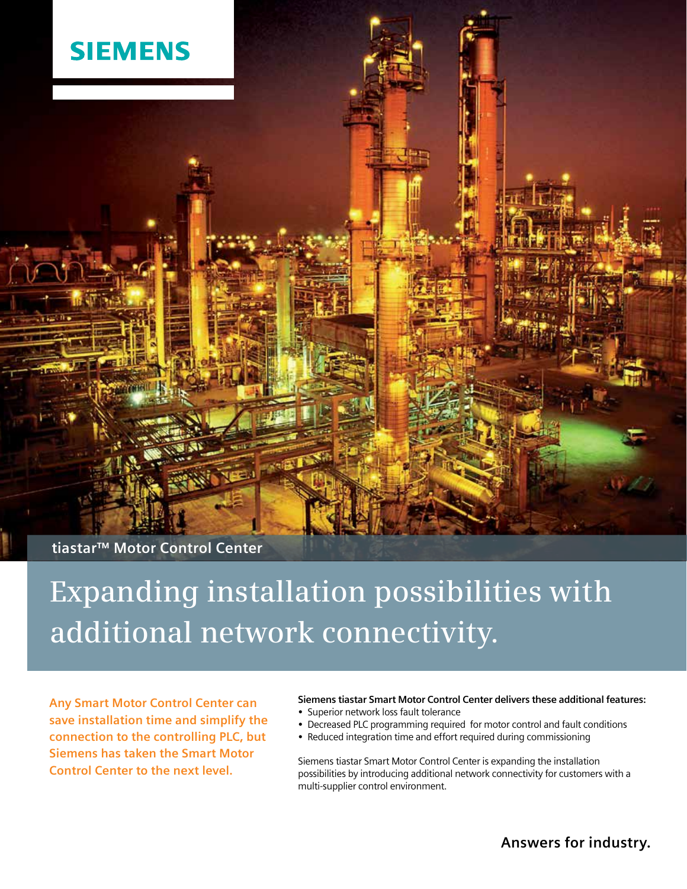

**tiastar™ Motor Control Center**

# **Expanding installation possibilities with additional network connectivity.**

**Any Smart Motor Control Center can save installation time and simplify the connection to the controlling PLC, but Siemens has taken the Smart Motor Control Center to the next level.**

## **Siemens tiastar Smart Motor Control Center delivers these additional features:**

- **•** Superior network loss fault tolerance
- **•** Decreased PLC programming required for motor control and fault conditions
- Reduced integration time and effort required during commissioning

Siemens tiastar Smart Motor Control Center is expanding the installation possibilities by introducing additional network connectivity for customers with a multi-supplier control environment.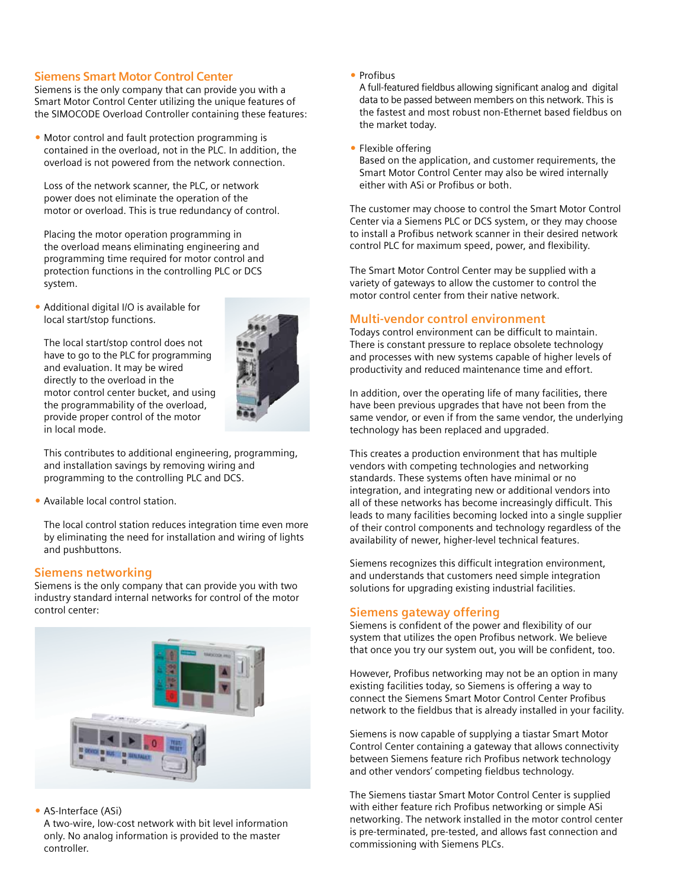## **Siemens Smart Motor Control Center**

Siemens is the only company that can provide you with a Smart Motor Control Center utilizing the unique features of the SIMOCODE Overload Controller containing these features:

• Motor control and fault protection programming is contained in the overload, not in the PLC. In addition, the overload is not powered from the network connection.

Loss of the network scanner, the PLC, or network power does not eliminate the operation of the motor or overload. This is true redundancy of control.

 Placing the motor operation programming in the overload means eliminating engineering and programming time required for motor control and protection functions in the controlling PLC or DCS system.

 Additional digital I/O is available for local start/stop functions.

 The local start/stop control does not have to go to the PLC for programming and evaluation. It may be wired directly to the overload in the motor control center bucket, and using the programmability of the overload, provide proper control of the motor in local mode.



 This contributes to additional engineering, programming, and installation savings by removing wiring and programming to the controlling PLC and DCS.

• Available local control station.

The local control station reduces integration time even more by eliminating the need for installation and wiring of lights and pushbuttons.

# **Siemens networking**

Siemens is the only company that can provide you with two industry standard internal networks for control of the motor control center:



• AS-Interface (ASi)

 A two-wire, low-cost network with bit level information only. No analog information is provided to the master controller.

• Profibus

 A full-featured fieldbus allowing significant analog and digital data to be passed between members on this network. This is the fastest and most robust non-Ethernet based fieldbus on the market today.

• Flexible offering

 Based on the application, and customer requirements, the Smart Motor Control Center may also be wired internally either with ASi or Profibus or both.

The customer may choose to control the Smart Motor Control Center via a Siemens PLC or DCS system, or they may choose to install a Profibus network scanner in their desired network control PLC for maximum speed, power, and flexibility.

The Smart Motor Control Center may be supplied with a variety of gateways to allow the customer to control the motor control center from their native network.

# **Multi-vendor control environment**

Todays control environment can be difficult to maintain. There is constant pressure to replace obsolete technology and processes with new systems capable of higher levels of productivity and reduced maintenance time and effort.

In addition, over the operating life of many facilities, there have been previous upgrades that have not been from the same vendor, or even if from the same vendor, the underlying technology has been replaced and upgraded.

This creates a production environment that has multiple vendors with competing technologies and networking standards. These systems often have minimal or no integration, and integrating new or additional vendors into all of these networks has become increasingly difficult. This leads to many facilities becoming locked into a single supplier of their control components and technology regardless of the availability of newer, higher-level technical features.

Siemens recognizes this difficult integration environment, and understands that customers need simple integration solutions for upgrading existing industrial facilities.

# **Siemens gateway offering**

Siemens is confident of the power and flexibility of our system that utilizes the open Profibus network. We believe that once you try our system out, you will be confident, too.

However, Profibus networking may not be an option in many existing facilities today, so Siemens is offering a way to connect the Siemens Smart Motor Control Center Profibus network to the fieldbus that is already installed in your facility.

Siemens is now capable of supplying a tiastar Smart Motor Control Center containing a gateway that allows connectivity between Siemens feature rich Profibus network technology and other vendors' competing fieldbus technology.

The Siemens tiastar Smart Motor Control Center is supplied with either feature rich Profibus networking or simple ASi networking. The network installed in the motor control center is pre-terminated, pre-tested, and allows fast connection and commissioning with Siemens PLCs.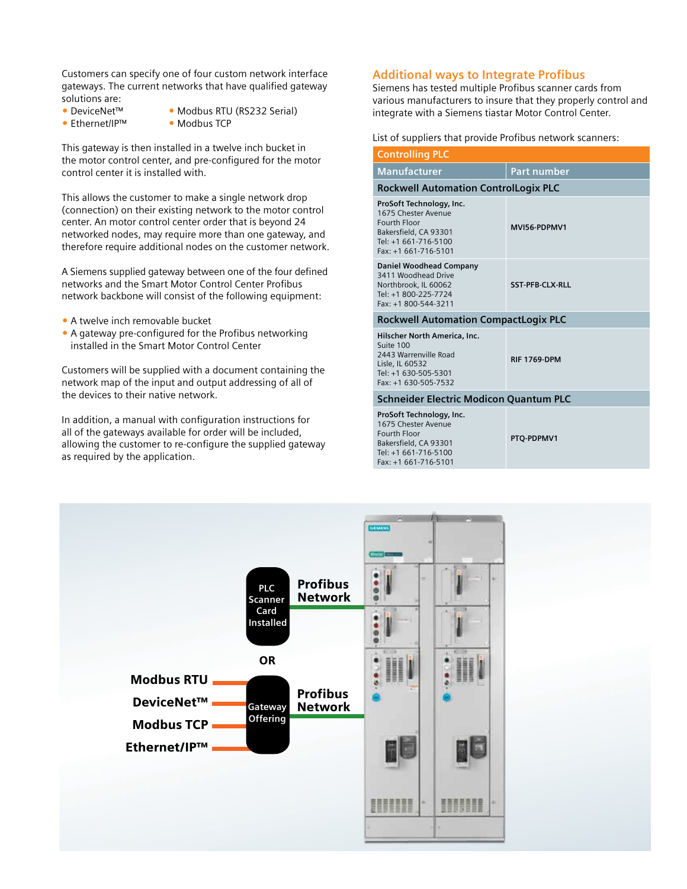Customers can specify one of four custom network interface gateways. The current networks that have qualified gateway solutions are:

- DeviceNet™ Modbus RTU (RS232 Serial)
- Ethernet/IP™ Modbus TCP
- 

This gateway is then installed in a twelve inch bucket in the motor control center, and pre-configured for the motor control center it is installed with.

This allows the customer to make a single network drop (connection) on their existing network to the motor control center. An motor control center order that is beyond 24 networked nodes, may require more than one gateway, and therefore require additional nodes on the customer network.

A Siemens supplied gateway between one of the four defined networks and the Smart Motor Control Center Profibus network backbone will consist of the following equipment:

- A twelve inch removable bucket
- A gateway pre-configured for the Profibus networking installed in the Smart Motor Control Center

Customers will be supplied with a document containing the network map of the input and output addressing of all of the devices to their native network.

In addition, a manual with configuration instructions for all of the gateways available for order will be included, allowing the customer to re-configure the supplied gateway as required by the application.

#### **Additional ways to Integrate Profibus**

Siemens has tested multiple Profibus scanner cards from various manufacturers to insure that they properly control and integrate with a Siemens tiastar Motor Control Center.

#### List of suppliers that provide Profibus network scanners:

| <b>Controlling PLC</b>                                                                                                                   |                        |  |
|------------------------------------------------------------------------------------------------------------------------------------------|------------------------|--|
| <b>Manufacturer</b>                                                                                                                      | <b>Part number</b>     |  |
| <b>Rockwell Automation ControlLogix PLC</b>                                                                                              |                        |  |
| ProSoft Technology, Inc.<br>1675 Chester Avenue<br>Fourth Floor<br>Bakersfield, CA 93301<br>Tel: +1 661-716-5100<br>Fax: +1 661-716-5101 | MVI56-PDPMV1           |  |
| <b>Daniel Woodhead Company</b><br>3411 Woodhead Drive<br>Northbrook, IL 60062<br>Tel: +1 800-225-7724<br>Fax: +1 800-544-3211            | <b>SST-PFB-CLX-RLL</b> |  |
| <b>Rockwell Automation CompactLogix PLC</b>                                                                                              |                        |  |
| Hilscher North America, Inc.<br>Suite 100<br>2443 Warrenville Road<br>Lisle, IL 60532<br>Tel: +1 630-505-5301<br>Fax: +1 630-505-7532    | <b>RIF 1769-DPM</b>    |  |
| <b>Schneider Electric Modicon Quantum PLC</b>                                                                                            |                        |  |
| ProSoft Technology, Inc.<br>1675 Chester Avenue<br>Fourth Floor<br>Bakersfield, CA 93301<br>Tel: +1 661-716-5100                         | <b>PTQ-PDPMV1</b>      |  |

Fax: +1 661-716-5101